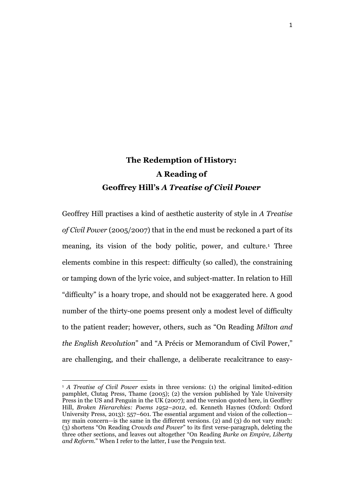# **The Redemption of History: A Reading of Geoffrey Hill's** *A Treatise of Civil Power*

Geoffrey Hill practises a kind of aesthetic austerity of style in *A Treatise of Civil Power* (2005/2007) that in the end must be reckoned a part of its meaning, its vision of the body politic, power, and culture.<sup>1</sup> Three elements combine in this respect: difficulty (so called), the constraining or tamping down of the lyric voice, and subject-matter. In relation to Hill "difficulty" is a hoary trope, and should not be exaggerated here. A good number of the thirty-one poems present only a modest level of difficulty to the patient reader; however, others, such as "On Reading *Milton and the English Revolution*" and "A Précis or Memorandum of Civil Power," are challenging, and their challenge, a deliberate recalcitrance to easy-

<sup>1</sup> *A Treatise of Civil Power* exists in three versions: (1) the original limited-edition pamphlet, Clutag Press, Thame (2005); (2) the version published by Yale University Press in the US and Penguin in the UK (2007); and the version quoted here, in Geoffrey Hill, *Broken Hierarchies: Poems 1952–2012*, ed. Kenneth Haynes (Oxford: Oxford University Press, 2013): 557–601. The essential argument and vision of the collection my main concern—is the same in the different versions. (2) and (3) do not vary much: (3) shortens "On Reading *Crowds and Power*" to its first verse-paragraph, deleting the three other sections, and leaves out altogether "On Reading *Burke on Empire, Liberty and Reform.*" When I refer to the latter, I use the Penguin text.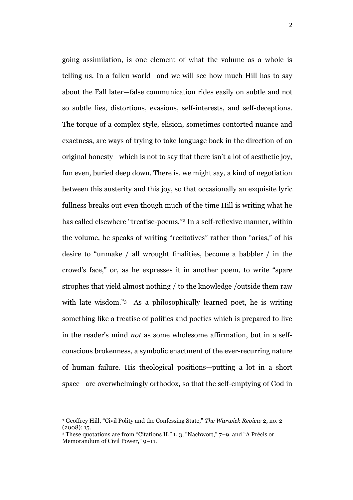going assimilation, is one element of what the volume as a whole is telling us. In a fallen world—and we will see how much Hill has to say about the Fall later—false communication rides easily on subtle and not so subtle lies, distortions, evasions, self-interests, and self-deceptions. The torque of a complex style, elision, sometimes contorted nuance and exactness, are ways of trying to take language back in the direction of an original honesty—which is not to say that there isn't a lot of aesthetic joy, fun even, buried deep down. There is, we might say, a kind of negotiation between this austerity and this joy, so that occasionally an exquisite lyric fullness breaks out even though much of the time Hill is writing what he has called elsewhere "treatise-poems." <sup>2</sup> In a self-reflexive manner, within the volume, he speaks of writing "recitatives" rather than "arias," of his desire to "unmake / all wrought finalities, become a babbler / in the crowd's face," or, as he expresses it in another poem, to write "spare strophes that yield almost nothing / to the knowledge /outside them raw with late wisdom."<sup>3</sup> As a philosophically learned poet, he is writing something like a treatise of politics and poetics which is prepared to live in the reader's mind *not* as some wholesome affirmation, but in a selfconscious brokenness, a symbolic enactment of the ever-recurring nature of human failure. His theological positions—putting a lot in a short space—are overwhelmingly orthodox, so that the self-emptying of God in

<sup>2</sup> Geoffrey Hill, "Civil Polity and the Confessing State," *The Warwick Review* 2, no. 2  $(2008): 15.$ 

<sup>3</sup> These quotations are from "Citations II," 1, 3, "Nachwort," 7–9, and "A Précis or Memorandum of Civil Power," 9–11.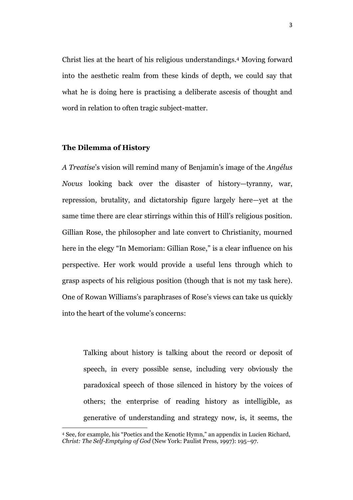Christ lies at the heart of his religious understandings.<sup>4</sup> Moving forward into the aesthetic realm from these kinds of depth, we could say that what he is doing here is practising a deliberate ascesis of thought and word in relation to often tragic subject-matter.

### **The Dilemma of History**

 $\ddot{\phantom{a}}$ 

*A Treatise*'s vision will remind many of Benjamin's image of the *Angélus Novus* looking back over the disaster of history—tyranny, war, repression, brutality, and dictatorship figure largely here—yet at the same time there are clear stirrings within this of Hill's religious position. Gillian Rose, the philosopher and late convert to Christianity, mourned here in the elegy "In Memoriam: Gillian Rose," is a clear influence on his perspective. Her work would provide a useful lens through which to grasp aspects of his religious position (though that is not my task here). One of Rowan Williams's paraphrases of Rose's views can take us quickly into the heart of the volume's concerns:

Talking about history is talking about the record or deposit of speech, in every possible sense, including very obviously the paradoxical speech of those silenced in history by the voices of others; the enterprise of reading history as intelligible, as generative of understanding and strategy now, is, it seems, the

<sup>4</sup> See, for example, his "Poetics and the Kenotic Hymn," an appendix in Lucien Richard, *Christ: The Self-Emptying of God* (New York: Paulist Press, 1997): 195–97.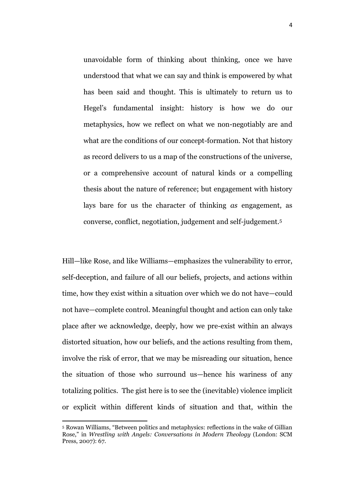unavoidable form of thinking about thinking, once we have understood that what we can say and think is empowered by what has been said and thought. This is ultimately to return us to Hegel's fundamental insight: history is how we do our metaphysics, how we reflect on what we non-negotiably are and what are the conditions of our concept-formation. Not that history as record delivers to us a map of the constructions of the universe, or a comprehensive account of natural kinds or a compelling thesis about the nature of reference; but engagement with history lays bare for us the character of thinking *as* engagement, as converse, conflict, negotiation, judgement and self-judgement.<sup>5</sup>

Hill—like Rose, and like Williams—emphasizes the vulnerability to error, self-deception, and failure of all our beliefs, projects, and actions within time, how they exist within a situation over which we do not have—could not have—complete control. Meaningful thought and action can only take place after we acknowledge, deeply, how we pre-exist within an always distorted situation, how our beliefs, and the actions resulting from them, involve the risk of error, that we may be misreading our situation, hence the situation of those who surround us—hence his wariness of any totalizing politics. The gist here is to see the (inevitable) violence implicit or explicit within different kinds of situation and that, within the

<sup>5</sup> Rowan Williams, "Between politics and metaphysics: reflections in the wake of Gillian Rose," in *Wrestling with Angels: Conversations in Modern Theology* (London: SCM Press, 2007): 67.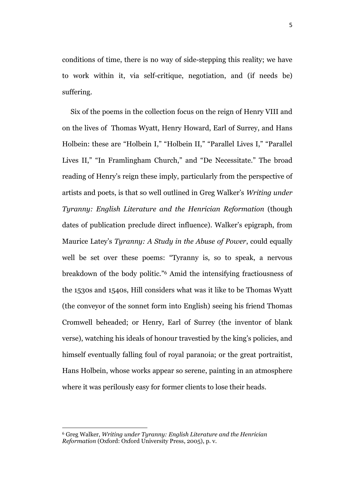conditions of time, there is no way of side-stepping this reality; we have to work within it, via self-critique, negotiation, and (if needs be) suffering.

Six of the poems in the collection focus on the reign of Henry VIII and on the lives of Thomas Wyatt, Henry Howard, Earl of Surrey, and Hans Holbein: these are "Holbein I," "Holbein II," "Parallel Lives I," "Parallel Lives II," "In Framlingham Church," and "De Necessitate." The broad reading of Henry's reign these imply, particularly from the perspective of artists and poets, is that so well outlined in Greg Walker's *Writing under Tyranny: English Literature and the Henrician Reformation* (though dates of publication preclude direct influence). Walker's epigraph, from Maurice Latey's *Tyranny: A Study in the Abuse of Power*, could equally well be set over these poems: "Tyranny is, so to speak, a nervous breakdown of the body politic." <sup>6</sup> Amid the intensifying fractiousness of the 1530s and 1540s, Hill considers what was it like to be Thomas Wyatt (the conveyor of the sonnet form into English) seeing his friend Thomas Cromwell beheaded; or Henry, Earl of Surrey (the inventor of blank verse), watching his ideals of honour travestied by the king's policies, and himself eventually falling foul of royal paranoia; or the great portraitist, Hans Holbein, whose works appear so serene, painting in an atmosphere where it was perilously easy for former clients to lose their heads.

 $\ddot{\phantom{a}}$ 

<sup>6</sup> Greg Walker, *Writing under Tyranny: English Literature and the Henrician Reformation* (Oxford: Oxford University Press, 2005), p. v.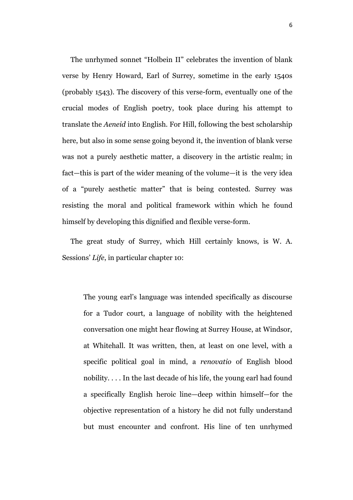The unrhymed sonnet "Holbein II" celebrates the invention of blank verse by Henry Howard, Earl of Surrey, sometime in the early 1540s (probably 1543). The discovery of this verse-form, eventually one of the crucial modes of English poetry, took place during his attempt to translate the *Aeneid* into English. For Hill, following the best scholarship here, but also in some sense going beyond it, the invention of blank verse was not a purely aesthetic matter, a discovery in the artistic realm; in fact—this is part of the wider meaning of the volume—it is the very idea of a "purely aesthetic matter" that is being contested. Surrey was resisting the moral and political framework within which he found himself by developing this dignified and flexible verse-form.

The great study of Surrey, which Hill certainly knows, is W. A. Sessions' *Life*, in particular chapter 10:

The young earl's language was intended specifically as discourse for a Tudor court, a language of nobility with the heightened conversation one might hear flowing at Surrey House, at Windsor, at Whitehall. It was written, then, at least on one level, with a specific political goal in mind, a *renovatio* of English blood nobility. . . . In the last decade of his life, the young earl had found a specifically English heroic line—deep within himself—for the objective representation of a history he did not fully understand but must encounter and confront. His line of ten unrhymed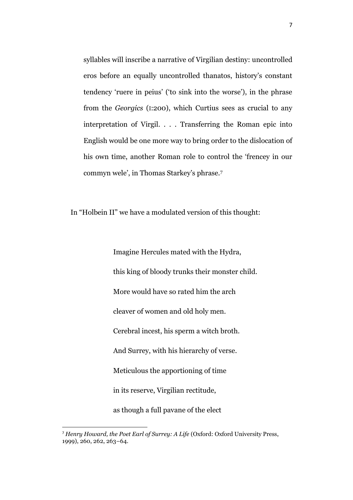syllables will inscribe a narrative of Virgilian destiny: uncontrolled eros before an equally uncontrolled thanatos, history's constant tendency 'ruere in peius' ('to sink into the worse'), in the phrase from the *Georgics* (I:200), which Curtius sees as crucial to any interpretation of Virgil. . . . Transferring the Roman epic into English would be one more way to bring order to the dislocation of his own time, another Roman role to control the 'frencey in our commyn wele', in Thomas Starkey's phrase.<sup>7</sup>

In "Holbein II" we have a modulated version of this thought:

Imagine Hercules mated with the Hydra, this king of bloody trunks their monster child. More would have so rated him the arch cleaver of women and old holy men. Cerebral incest, his sperm a witch broth. And Surrey, with his hierarchy of verse. Meticulous the apportioning of time in its reserve, Virgilian rectitude, as though a full pavane of the elect

<sup>7</sup> *Henry Howard, the Poet Earl of Surrey: A Life* (Oxford: Oxford University Press, 1999), 260, 262, 263–64.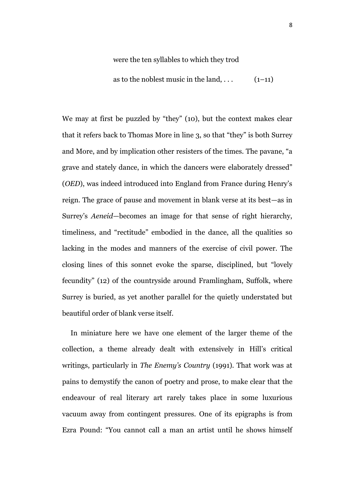#### were the ten syllables to which they trod

as to the noblest music in the land,  $\dots$  (1–11)

We may at first be puzzled by "they" (10), but the context makes clear that it refers back to Thomas More in line 3, so that "they" is both Surrey and More, and by implication other resisters of the times. The pavane, "a grave and stately dance, in which the dancers were elaborately dressed" (*OED*), was indeed introduced into England from France during Henry's reign. The grace of pause and movement in blank verse at its best—as in Surrey's *Aeneid*—becomes an image for that sense of right hierarchy, timeliness, and "rectitude" embodied in the dance, all the qualities so lacking in the modes and manners of the exercise of civil power. The closing lines of this sonnet evoke the sparse, disciplined, but "lovely fecundity" (12) of the countryside around Framlingham, Suffolk, where Surrey is buried, as yet another parallel for the quietly understated but beautiful order of blank verse itself.

In miniature here we have one element of the larger theme of the collection, a theme already dealt with extensively in Hill's critical writings, particularly in *The Enemy's Country* (1991)*.* That work was at pains to demystify the canon of poetry and prose, to make clear that the endeavour of real literary art rarely takes place in some luxurious vacuum away from contingent pressures. One of its epigraphs is from Ezra Pound: "You cannot call a man an artist until he shows himself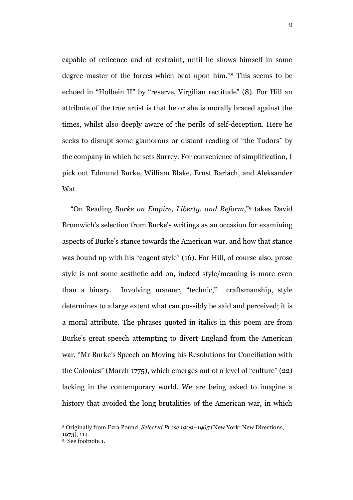capable of reticence and of restraint, until he shows himself in some degree master of the forces which beat upon him." <sup>8</sup> This seems to be echoed in "Holbein II" by "reserve, Virgilian rectitude" (8). For Hill an attribute of the true artist is that he or she is morally braced against the times, whilst also deeply aware of the perils of self-deception. Here he seeks to disrupt some glamorous or distant reading of "the Tudors" by the company in which he sets Surrey. For convenience of simplification, I pick out Edmund Burke, William Blake, Ernst Barlach, and Aleksander Wat.

"On Reading *Burke on Empire, Liberty, and Reform*," <sup>9</sup> takes David Bromwich's selection from Burke's writings as an occasion for examining aspects of Burke's stance towards the American war, and how that stance was bound up with his "cogent style" (16). For Hill, of course also, prose style is not some aesthetic add-on, indeed style/meaning is more even than a binary. Involving manner, "technic," craftsmanship, style determines to a large extent what can possibly be said and perceived; it is a moral attribute. The phrases quoted in italics in this poem are from Burke's great speech attempting to divert England from the American war, "Mr Burke's Speech on Moving his Resolutions for Conciliation with the Colonies" (March 1775), which emerges out of a level of "culture" (22) lacking in the contemporary world. We are being asked to imagine a history that avoided the long brutalities of the American war, in which

<sup>8</sup> Originally from Ezra Pound, *Selected Prose 1909–1965* (New York: New Directions, 1973), 114.

<sup>9</sup> See footnote 1.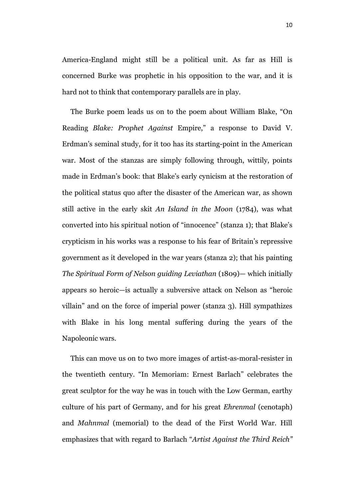America-England might still be a political unit. As far as Hill is concerned Burke was prophetic in his opposition to the war, and it is hard not to think that contemporary parallels are in play.

The Burke poem leads us on to the poem about William Blake, "On Reading *Blake: Prophet Against* Empire," a response to David V. Erdman's seminal study, for it too has its starting-point in the American war. Most of the stanzas are simply following through, wittily, points made in Erdman's book: that Blake's early cynicism at the restoration of the political status quo after the disaster of the American war, as shown still active in the early skit *An Island in the Moon* (1784), was what converted into his spiritual notion of "innocence" (stanza 1); that Blake's crypticism in his works was a response to his fear of Britain's repressive government as it developed in the war years (stanza 2); that his painting *The Spiritual Form of Nelson guiding Leviathan* (1809)— which initially appears so heroic—is actually a subversive attack on Nelson as "heroic villain" and on the force of imperial power (stanza 3). Hill sympathizes with Blake in his long mental suffering during the years of the Napoleonic wars.

This can move us on to two more images of artist-as-moral-resister in the twentieth century. "In Memoriam: Ernest Barlach" celebrates the great sculptor for the way he was in touch with the Low German, earthy culture of his part of Germany, and for his great *Ehrenmal* (cenotaph) and *Mahnmal* (memorial) to the dead of the First World War. Hill emphasizes that with regard to Barlach "*Artist Against the Third Reich"*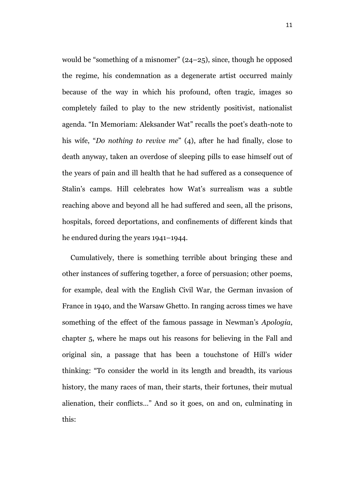would be "something of a misnomer" (24–25), since, though he opposed the regime, his condemnation as a degenerate artist occurred mainly because of the way in which his profound, often tragic, images so completely failed to play to the new stridently positivist, nationalist agenda. "In Memoriam: Aleksander Wat" recalls the poet's death-note to his wife, "*Do nothing to revive me*" (4), after he had finally, close to death anyway, taken an overdose of sleeping pills to ease himself out of the years of pain and ill health that he had suffered as a consequence of Stalin's camps. Hill celebrates how Wat's surrealism was a subtle reaching above and beyond all he had suffered and seen, all the prisons, hospitals, forced deportations, and confinements of different kinds that he endured during the years 1941–1944.

Cumulatively, there is something terrible about bringing these and other instances of suffering together, a force of persuasion; other poems, for example, deal with the English Civil War, the German invasion of France in 1940, and the Warsaw Ghetto. In ranging across times we have something of the effect of the famous passage in Newman's *Apologia*, chapter 5, where he maps out his reasons for believing in the Fall and original sin, a passage that has been a touchstone of Hill's wider thinking: "To consider the world in its length and breadth, its various history, the many races of man, their starts, their fortunes, their mutual alienation, their conflicts…" And so it goes, on and on, culminating in this: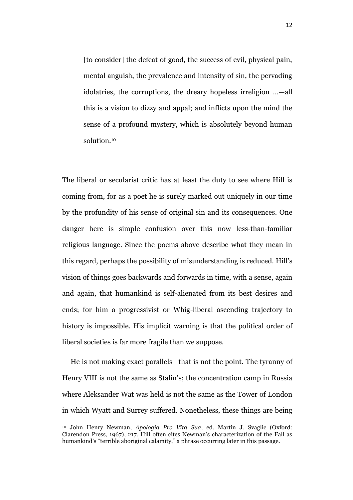[to consider] the defeat of good, the success of evil, physical pain, mental anguish, the prevalence and intensity of sin, the pervading idolatries, the corruptions, the dreary hopeless irreligion …—all this is a vision to dizzy and appal; and inflicts upon the mind the sense of a profound mystery, which is absolutely beyond human solution <sup>10</sup>

The liberal or secularist critic has at least the duty to see where Hill is coming from, for as a poet he is surely marked out uniquely in our time by the profundity of his sense of original sin and its consequences. One danger here is simple confusion over this now less-than-familiar religious language. Since the poems above describe what they mean in this regard, perhaps the possibility of misunderstanding is reduced. Hill's vision of things goes backwards and forwards in time, with a sense, again and again, that humankind is self-alienated from its best desires and ends; for him a progressivist or Whig-liberal ascending trajectory to history is impossible. His implicit warning is that the political order of liberal societies is far more fragile than we suppose.

He is not making exact parallels—that is not the point. The tyranny of Henry VIII is not the same as Stalin's; the concentration camp in Russia where Aleksander Wat was held is not the same as the Tower of London in which Wyatt and Surrey suffered. Nonetheless, these things are being

<sup>10</sup> John Henry Newman, *Apologia Pro Vita Sua*, ed. Martin J. Svaglic (Oxford: Clarendon Press, 1967), 217. Hill often cites Newman's characterization of the Fall as humankind's "terrible aboriginal calamity," a phrase occurring later in this passage.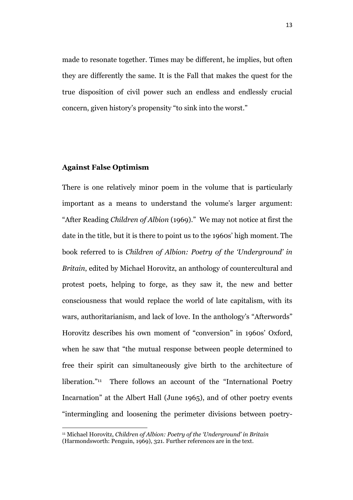made to resonate together. Times may be different, he implies, but often they are differently the same. It is the Fall that makes the quest for the true disposition of civil power such an endless and endlessly crucial concern, given history's propensity "to sink into the worst."

### **Against False Optimism**

 $\ddot{\phantom{a}}$ 

There is one relatively minor poem in the volume that is particularly important as a means to understand the volume's larger argument: "After Reading *Children of Albion* (1969)." We may not notice at first the date in the title, but it is there to point us to the 1960s' high moment. The book referred to is *Children of Albion: Poetry of the 'Underground' in Britain*, edited by Michael Horovitz, an anthology of countercultural and protest poets, helping to forge, as they saw it, the new and better consciousness that would replace the world of late capitalism, with its wars, authoritarianism, and lack of love. In the anthology's "Afterwords" Horovitz describes his own moment of "conversion" in 1960s' Oxford, when he saw that "the mutual response between people determined to free their spirit can simultaneously give birth to the architecture of liberation." <sup>11</sup> There follows an account of the "International Poetry Incarnation" at the Albert Hall (June 1965), and of other poetry events "intermingling and loosening the perimeter divisions between poetry-

<sup>11</sup> Michael Horovitz, *Children of Albion: Poetry of the 'Underground' in Britain* (Harmondsworth: Penguin, 1969), 321. Further references are in the text.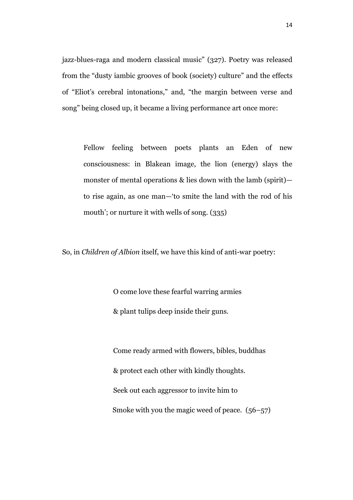jazz-blues-raga and modern classical music" (327). Poetry was released from the "dusty iambic grooves of book (society) culture" and the effects of "Eliot's cerebral intonations," and, "the margin between verse and song" being closed up, it became a living performance art once more:

Fellow feeling between poets plants an Eden of new consciousness: in Blakean image, the lion (energy) slays the monster of mental operations & lies down with the lamb (spirit) to rise again, as one man—'to smite the land with the rod of his mouth'; or nurture it with wells of song. (335)

So, in *Children of Albion* itself, we have this kind of anti-war poetry:

O come love these fearful warring armies & plant tulips deep inside their guns.

Come ready armed with flowers, bibles, buddhas & protect each other with kindly thoughts. Seek out each aggressor to invite him to Smoke with you the magic weed of peace. (56–57)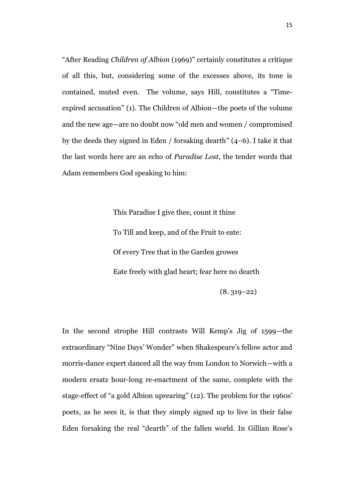"After Reading *Children of Albion* (1969)" certainly constitutes a critique of all this, but, considering some of the excesses above, its tone is contained, muted even. The volume, says Hill, constitutes a "Timeexpired accusation" (1). The Children of Albion—the poets of the volume and the new age—are no doubt now "old men and women / compromised by the deeds they signed in Eden / forsaking dearth" (4–6). I take it that the last words here are an echo of *Paradise Lost*, the tender words that Adam remembers God speaking to him:

> This Paradise I give thee, count it thine To Till and keep, and of the Fruit to eate: Of every Tree that in the Garden growes Eate freely with glad heart; fear here no dearth (8. 319–22)

In the second strophe Hill contrasts Will Kemp's Jig of 1599—the extraordinary "Nine Days' Wonder" when Shakespeare's fellow actor and morris-dance expert danced all the way from London to Norwich—with a modern ersatz hour-long re-enactment of the same, complete with the stage-effect of "a gold Albion uprearing" (12). The problem for the 1960s' poets, as he sees it, is that they simply signed up to live in their false Eden forsaking the real "dearth" of the fallen world. In Gillian Rose's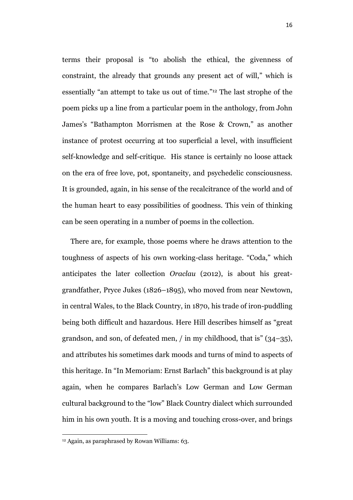terms their proposal is "to abolish the ethical, the givenness of constraint, the already that grounds any present act of will," which is essentially "an attempt to take us out of time." <sup>12</sup> The last strophe of the poem picks up a line from a particular poem in the anthology, from John James's "Bathampton Morrismen at the Rose & Crown," as another instance of protest occurring at too superficial a level, with insufficient self-knowledge and self-critique. His stance is certainly no loose attack on the era of free love, pot, spontaneity, and psychedelic consciousness. It is grounded, again, in his sense of the recalcitrance of the world and of the human heart to easy possibilities of goodness. This vein of thinking can be seen operating in a number of poems in the collection.

There are, for example, those poems where he draws attention to the toughness of aspects of his own working-class heritage. "Coda," which anticipates the later collection *Oraclau* (2012), is about his greatgrandfather, Pryce Jukes (1826–1895), who moved from near Newtown, in central Wales, to the Black Country, in 1870, his trade of iron-puddling being both difficult and hazardous. Here Hill describes himself as "great grandson, and son, of defeated men, / in my childhood, that is" (34–35), and attributes his sometimes dark moods and turns of mind to aspects of this heritage. In "In Memoriam: Ernst Barlach" this background is at play again, when he compares Barlach's Low German and Low German cultural background to the "low" Black Country dialect which surrounded him in his own youth. It is a moving and touching cross-over, and brings

<sup>12</sup> Again, as paraphrased by Rowan Williams: 63.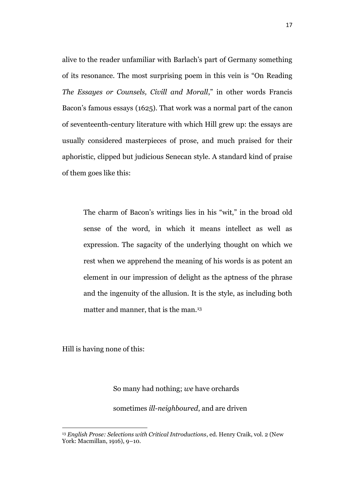alive to the reader unfamiliar with Barlach's part of Germany something of its resonance. The most surprising poem in this vein is "On Reading *The Essayes or Counsels, Civill and Morall*," in other words Francis Bacon's famous essays (1625). That work was a normal part of the canon of seventeenth-century literature with which Hill grew up: the essays are usually considered masterpieces of prose, and much praised for their aphoristic, clipped but judicious Senecan style. A standard kind of praise of them goes like this:

The charm of Bacon's writings lies in his "wit," in the broad old sense of the word, in which it means intellect as well as expression. The sagacity of the underlying thought on which we rest when we apprehend the meaning of his words is as potent an element in our impression of delight as the aptness of the phrase and the ingenuity of the allusion. It is the style, as including both matter and manner, that is the man.<sup>13</sup>

Hill is having none of this:

 $\ddot{\phantom{a}}$ 

#### So many had nothing; *we* have orchards

sometimes *ill-neighboured*, and are driven

<sup>13</sup> *English Prose: Selections with Critical Introductions*, ed. Henry Craik, vol. 2 (New York: Macmillan, 1916), 9–10.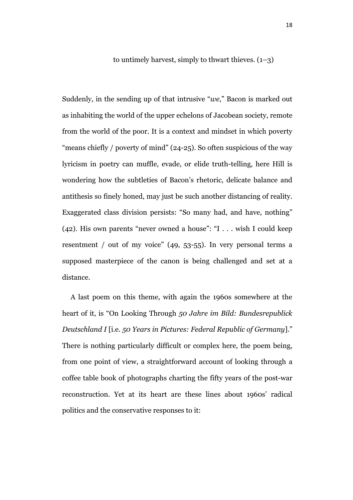to untimely harvest, simply to thwart thieves.  $(1-3)$ 

Suddenly, in the sending up of that intrusive "*we*," Bacon is marked out as inhabiting the world of the upper echelons of Jacobean society, remote from the world of the poor. It is a context and mindset in which poverty "means chiefly / poverty of mind" (24-25). So often suspicious of the way lyricism in poetry can muffle, evade, or elide truth-telling, here Hill is wondering how the subtleties of Bacon's rhetoric, delicate balance and antithesis so finely honed, may just be such another distancing of reality. Exaggerated class division persists: "So many had, and have, nothing" (42). His own parents "never owned a house": "I . . . wish I could keep resentment / out of my voice" (49, 53-55). In very personal terms a supposed masterpiece of the canon is being challenged and set at a distance.

A last poem on this theme, with again the 1960s somewhere at the heart of it, is "On Looking Through *50 Jahre im Bild: Bundesrepublick Deutschland I* [i.e. *50 Years in Pictures: Federal Republic of Germany*]." There is nothing particularly difficult or complex here, the poem being, from one point of view, a straightforward account of looking through a coffee table book of photographs charting the fifty years of the post-war reconstruction. Yet at its heart are these lines about 1960s' radical politics and the conservative responses to it: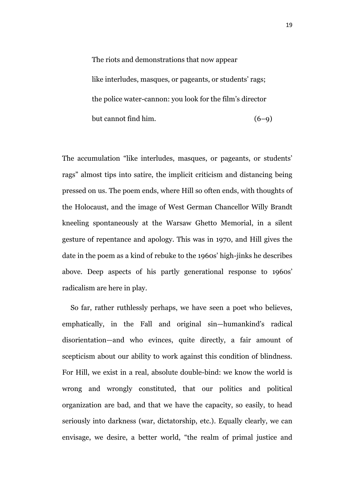The riots and demonstrations that now appear like interludes, masques, or pageants, or students' rags; the police water-cannon: you look for the film's director but cannot find him.  $(6-9)$ 

The accumulation "like interludes, masques, or pageants, or students' rags" almost tips into satire, the implicit criticism and distancing being pressed on us. The poem ends, where Hill so often ends, with thoughts of the Holocaust, and the image of West German Chancellor Willy Brandt kneeling spontaneously at the Warsaw Ghetto Memorial, in a silent gesture of repentance and apology. This was in 1970, and Hill gives the date in the poem as a kind of rebuke to the 1960s' high-jinks he describes above. Deep aspects of his partly generational response to 1960s' radicalism are here in play.

So far, rather ruthlessly perhaps, we have seen a poet who believes, emphatically, in the Fall and original sin—humankind's radical disorientation—and who evinces, quite directly, a fair amount of scepticism about our ability to work against this condition of blindness. For Hill, we exist in a real, absolute double-bind: we know the world is wrong and wrongly constituted, that our politics and political organization are bad, and that we have the capacity, so easily, to head seriously into darkness (war, dictatorship, etc.). Equally clearly, we can envisage, we desire, a better world, "the realm of primal justice and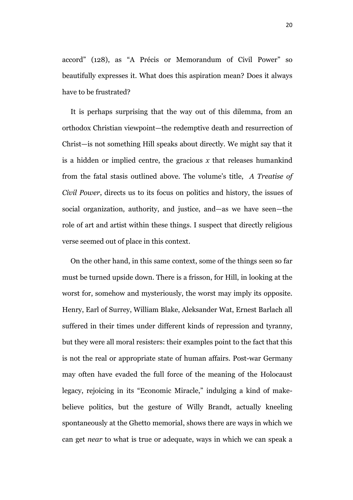accord" (128), as "A Précis or Memorandum of Civil Power" so beautifully expresses it. What does this aspiration mean? Does it always have to be frustrated?

It is perhaps surprising that the way out of this dilemma, from an orthodox Christian viewpoint—the redemptive death and resurrection of Christ—is not something Hill speaks about directly. We might say that it is a hidden or implied centre, the gracious *x* that releases humankind from the fatal stasis outlined above. The volume's title, *A Treatise of Civil Power*, directs us to its focus on politics and history, the issues of social organization, authority, and justice, and—as we have seen—the role of art and artist within these things. I suspect that directly religious verse seemed out of place in this context.

On the other hand, in this same context, some of the things seen so far must be turned upside down. There is a frisson, for Hill, in looking at the worst for, somehow and mysteriously, the worst may imply its opposite. Henry, Earl of Surrey, William Blake, Aleksander Wat, Ernest Barlach all suffered in their times under different kinds of repression and tyranny, but they were all moral resisters: their examples point to the fact that this is not the real or appropriate state of human affairs. Post-war Germany may often have evaded the full force of the meaning of the Holocaust legacy, rejoicing in its "Economic Miracle," indulging a kind of makebelieve politics, but the gesture of Willy Brandt, actually kneeling spontaneously at the Ghetto memorial, shows there are ways in which we can get *near* to what is true or adequate, ways in which we can speak a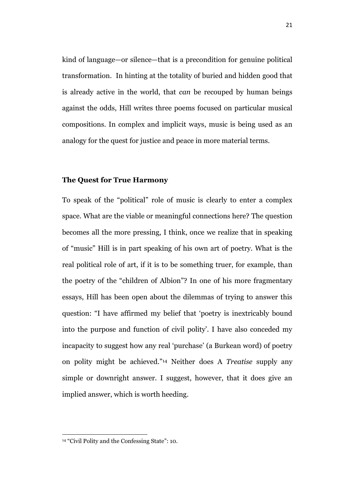kind of language—or silence—that is a precondition for genuine political transformation. In hinting at the totality of buried and hidden good that is already active in the world, that *can* be recouped by human beings against the odds, Hill writes three poems focused on particular musical compositions. In complex and implicit ways, music is being used as an analogy for the quest for justice and peace in more material terms.

## **The Quest for True Harmony**

To speak of the "political" role of music is clearly to enter a complex space. What are the viable or meaningful connections here? The question becomes all the more pressing, I think, once we realize that in speaking of "music" Hill is in part speaking of his own art of poetry. What is the real political role of art, if it is to be something truer, for example, than the poetry of the "children of Albion"? In one of his more fragmentary essays, Hill has been open about the dilemmas of trying to answer this question: "I have affirmed my belief that 'poetry is inextricably bound into the purpose and function of civil polity'. I have also conceded my incapacity to suggest how any real 'purchase' (a Burkean word) of poetry on polity might be achieved."<sup>14</sup> Neither does A *Treatise* supply any simple or downright answer. I suggest, however, that it does give an implied answer, which is worth heeding.

 $\overline{a}$ <sup>14</sup> "Civil Polity and the Confessing State": 10.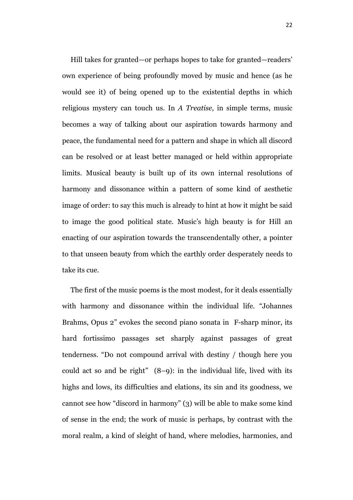Hill takes for granted—or perhaps hopes to take for granted—readers' own experience of being profoundly moved by music and hence (as he would see it) of being opened up to the existential depths in which religious mystery can touch us. In *A Treatise*, in simple terms, music becomes a way of talking about our aspiration towards harmony and peace, the fundamental need for a pattern and shape in which all discord can be resolved or at least better managed or held within appropriate limits. Musical beauty is built up of its own internal resolutions of harmony and dissonance within a pattern of some kind of aesthetic image of order: to say this much is already to hint at how it might be said to image the good political state. Music's high beauty is for Hill an enacting of our aspiration towards the transcendentally other, a pointer to that unseen beauty from which the earthly order desperately needs to take its cue.

The first of the music poems is the most modest, for it deals essentially with harmony and dissonance within the individual life. "Johannes Brahms, Opus 2" evokes the second piano sonata in F-sharp minor, its hard fortissimo passages set sharply against passages of great tenderness. "Do not compound arrival with destiny / though here you could act so and be right"  $(8-9)$ : in the individual life, lived with its highs and lows, its difficulties and elations, its sin and its goodness, we cannot see how "discord in harmony" (3) will be able to make some kind of sense in the end; the work of music is perhaps, by contrast with the moral realm, a kind of sleight of hand, where melodies, harmonies, and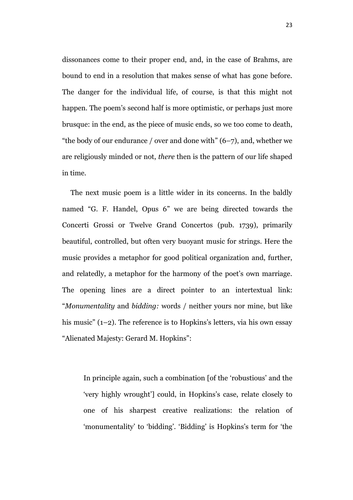dissonances come to their proper end, and, in the case of Brahms, are bound to end in a resolution that makes sense of what has gone before. The danger for the individual life, of course, is that this might not happen. The poem's second half is more optimistic, or perhaps just more brusque: in the end, as the piece of music ends, so we too come to death, "the body of our endurance / over and done with"  $(6–7)$ , and, whether we are religiously minded or not, *there* then is the pattern of our life shaped in time.

The next music poem is a little wider in its concerns. In the baldly named "G. F. Handel, Opus 6" we are being directed towards the Concerti Grossi or Twelve Grand Concertos (pub. 1739), primarily beautiful, controlled, but often very buoyant music for strings. Here the music provides a metaphor for good political organization and, further, and relatedly, a metaphor for the harmony of the poet's own marriage. The opening lines are a direct pointer to an intertextual link: "*Monumentality* and *bidding:* words / neither yours nor mine, but like his music" (1–2). The reference is to Hopkins's letters, via his own essay "Alienated Majesty: Gerard M. Hopkins":

In principle again, such a combination [of the 'robustious' and the 'very highly wrought'] could, in Hopkins's case, relate closely to one of his sharpest creative realizations: the relation of 'monumentality' to 'bidding'. 'Bidding' is Hopkins's term for 'the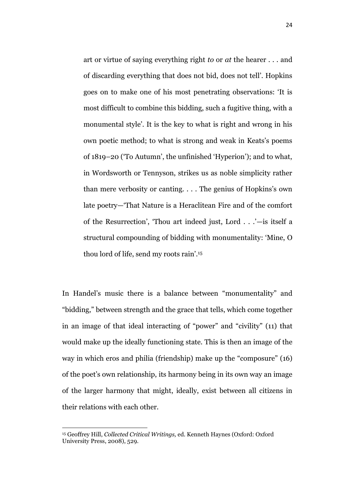art or virtue of saying everything right *to* or *at* the hearer . . . and of discarding everything that does not bid, does not tell'. Hopkins goes on to make one of his most penetrating observations: 'It is most difficult to combine this bidding, such a fugitive thing, with a monumental style'. It is the key to what is right and wrong in his own poetic method; to what is strong and weak in Keats's poems of 1819–20 ('To Autumn', the unfinished 'Hyperion'); and to what, in Wordsworth or Tennyson, strikes us as noble simplicity rather than mere verbosity or canting. . . . The genius of Hopkins's own late poetry—'That Nature is a Heraclitean Fire and of the comfort of the Resurrection', 'Thou art indeed just, Lord . . .'—is itself a structural compounding of bidding with monumentality: 'Mine, O thou lord of life, send my roots rain'. 15

In Handel's music there is a balance between "monumentality" and "bidding," between strength and the grace that tells, which come together in an image of that ideal interacting of "power" and "civility" (11) that would make up the ideally functioning state. This is then an image of the way in which eros and philia (friendship) make up the "composure" (16) of the poet's own relationship, its harmony being in its own way an image of the larger harmony that might, ideally, exist between all citizens in their relations with each other.

 $\ddot{\phantom{a}}$ 

<sup>15</sup> Geoffrey Hill, *Collected Critical Writings,* ed. Kenneth Haynes (Oxford: Oxford University Press, 2008), 529.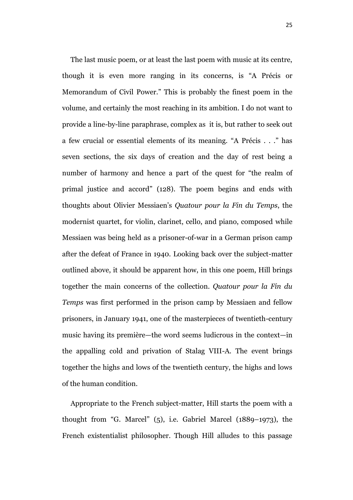The last music poem, or at least the last poem with music at its centre, though it is even more ranging in its concerns, is "A Précis or Memorandum of Civil Power." This is probably the finest poem in the volume, and certainly the most reaching in its ambition. I do not want to provide a line-by-line paraphrase, complex as it is, but rather to seek out a few crucial or essential elements of its meaning. "A Précis . . ." has seven sections, the six days of creation and the day of rest being a number of harmony and hence a part of the quest for "the realm of primal justice and accord" (128). The poem begins and ends with thoughts about Olivier Messiaen's *Quatour pour la Fin du Temps*, the modernist quartet, for violin, clarinet, cello, and piano, composed while Messiaen was being held as a prisoner-of-war in a German prison camp after the defeat of France in 1940. Looking back over the subject-matter outlined above, it should be apparent how, in this one poem, Hill brings together the main concerns of the collection. *Quatour pour la Fin du Temps* was first performed in the prison camp by Messiaen and fellow prisoners, in January 1941, one of the masterpieces of twentieth-century music having its première—the word seems ludicrous in the context—in the appalling cold and privation of Stalag VIII-A. The event brings together the highs and lows of the twentieth century, the highs and lows of the human condition.

Appropriate to the French subject-matter, Hill starts the poem with a thought from "G. Marcel" (5), i.e. Gabriel Marcel (1889–1973), the French existentialist philosopher. Though Hill alludes to this passage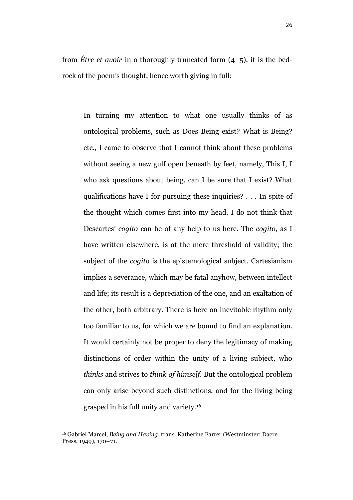from *Être et avoir* in a thoroughly truncated form (4–5), it is the bedrock of the poem's thought, hence worth giving in full:

In turning my attention to what one usually thinks of as ontological problems, such as Does Being exist? What is Being? etc., I came to observe that I cannot think about these problems without seeing a new gulf open beneath by feet, namely, This I, I who ask questions about being, can I be sure that I exist? What qualifications have I for pursuing these inquiries? . . . In spite of the thought which comes first into my head, I do not think that Descartes' *cogito* can be of any help to us here. The *cogito*, as I have written elsewhere, is at the mere threshold of validity; the subject of the *cogito* is the epistemological subject. Cartesianism implies a severance, which may be fatal anyhow, between intellect and life; its result is a depreciation of the one, and an exaltation of the other, both arbitrary. There is here an inevitable rhythm only too familiar to us, for which we are bound to find an explanation. It would certainly not be proper to deny the legitimacy of making distinctions of order within the unity of a living subject, who *thinks* and strives to *think of himself.* But the ontological problem can only arise beyond such distinctions, and for the living being grasped in his full unity and variety.<sup>16</sup>

 $\ddot{\phantom{a}}$ 

<sup>16</sup> Gabriel Marcel, *Being and Having*, trans. Katherine Farrer (Westminster: Dacre Press, 1949), 170–71.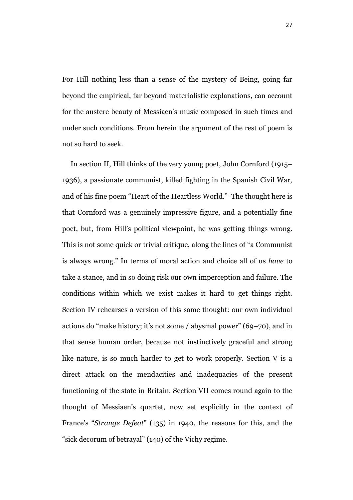For Hill nothing less than a sense of the mystery of Being, going far beyond the empirical, far beyond materialistic explanations, can account for the austere beauty of Messiaen's music composed in such times and under such conditions. From herein the argument of the rest of poem is not so hard to seek.

In section II, Hill thinks of the very young poet, John Cornford (1915– 1936), a passionate communist, killed fighting in the Spanish Civil War, and of his fine poem "Heart of the Heartless World." The thought here is that Cornford was a genuinely impressive figure, and a potentially fine poet, but, from Hill's political viewpoint, he was getting things wrong. This is not some quick or trivial critique, along the lines of "a Communist is always wrong." In terms of moral action and choice all of us *have* to take a stance, and in so doing risk our own imperception and failure. The conditions within which we exist makes it hard to get things right. Section IV rehearses a version of this same thought: our own individual actions do "make history; it's not some / abysmal power" (69–70), and in that sense human order, because not instinctively graceful and strong like nature, is so much harder to get to work properly. Section V is a direct attack on the mendacities and inadequacies of the present functioning of the state in Britain. Section VII comes round again to the thought of Messiaen's quartet, now set explicitly in the context of France's "*Strange Defeat*" (135) in 1940, the reasons for this, and the "sick decorum of betrayal" (140) of the Vichy regime.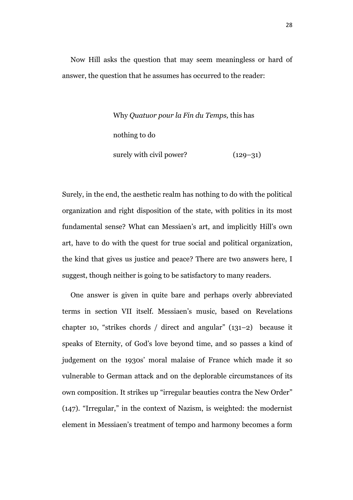Now Hill asks the question that may seem meaningless or hard of answer, the question that he assumes has occurred to the reader:

> Why *Quatuor pour la Fin du Temps,* this has nothing to do surely with civil power?  $(129-31)$

Surely, in the end, the aesthetic realm has nothing to do with the political organization and right disposition of the state, with politics in its most fundamental sense? What can Messiaen's art, and implicitly Hill's own art, have to do with the quest for true social and political organization, the kind that gives us justice and peace? There are two answers here, I suggest, though neither is going to be satisfactory to many readers.

One answer is given in quite bare and perhaps overly abbreviated terms in section VII itself. Messiaen's music, based on Revelations chapter 10, "strikes chords / direct and angular" (131–2) because it speaks of Eternity, of God's love beyond time, and so passes a kind of judgement on the 1930s' moral malaise of France which made it so vulnerable to German attack and on the deplorable circumstances of its own composition. It strikes up "irregular beauties contra the New Order" (147). "Irregular," in the context of Nazism, is weighted: the modernist element in Messiaen's treatment of tempo and harmony becomes a form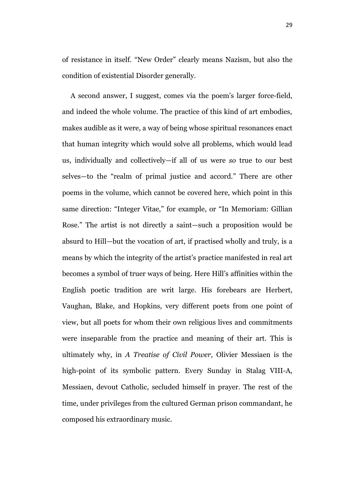of resistance in itself. "New Order" clearly means Nazism, but also the condition of existential Disorder generally.

A second answer, I suggest, comes via the poem's larger force-field, and indeed the whole volume. The practice of this kind of art embodies, makes audible as it were, a way of being whose spiritual resonances enact that human integrity which would solve all problems, which would lead us, individually and collectively—if all of us were *so* true to our best selves—to the "realm of primal justice and accord." There are other poems in the volume, which cannot be covered here, which point in this same direction: "Integer Vitae," for example, or "In Memoriam: Gillian Rose." The artist is not directly a saint—such a proposition would be absurd to Hill—but the vocation of art, if practised wholly and truly, is a means by which the integrity of the artist's practice manifested in real art becomes a symbol of truer ways of being. Here Hill's affinities within the English poetic tradition are writ large. His forebears are Herbert, Vaughan, Blake, and Hopkins, very different poets from one point of view, but all poets for whom their own religious lives and commitments were inseparable from the practice and meaning of their art. This is ultimately why, in *A Treatise of Civil Power,* Olivier Messiaen is the high-point of its symbolic pattern. Every Sunday in Stalag VIII-A, Messiaen, devout Catholic, secluded himself in prayer. The rest of the time, under privileges from the cultured German prison commandant, he composed his extraordinary music.